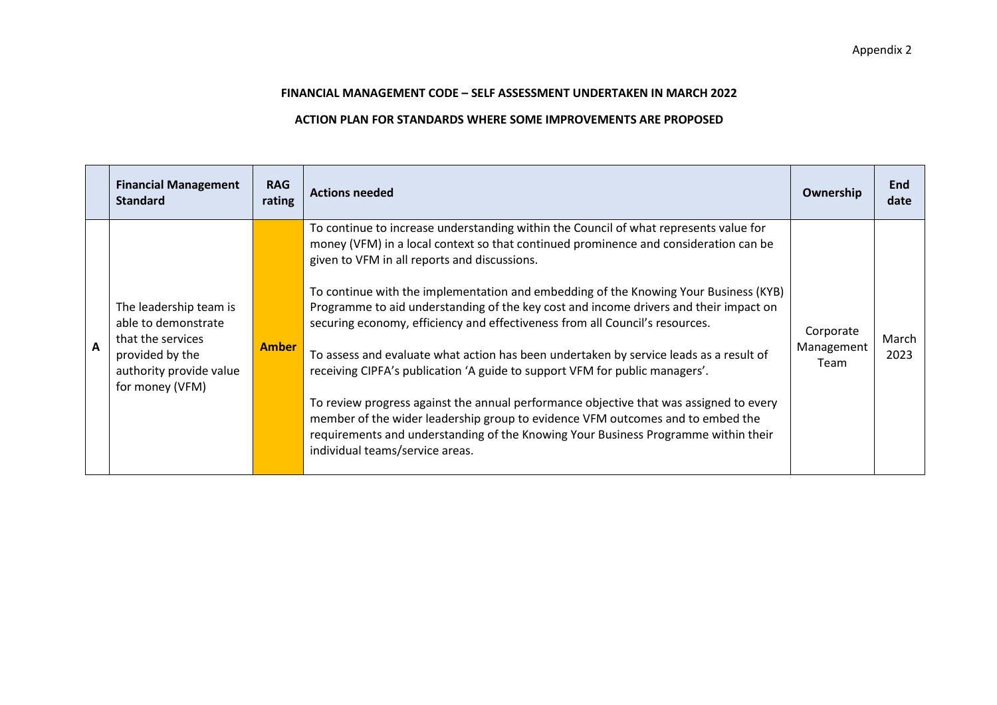## **FINANCIAL MANAGEMENT CODE – SELF ASSESSMENT UNDERTAKEN IN MARCH 2022**

## **ACTION PLAN FOR STANDARDS WHERE SOME IMPROVEMENTS ARE PROPOSED**

|              | <b>Financial Management</b><br><b>Standard</b>                                                                                      | <b>RAG</b><br>rating | <b>Actions needed</b>                                                                                                                                                                                                                                                                                                                                                                                                                                                                                                                                                                                                                                                                                                                                                                                                                                                                                                                                                        | Ownership                       | <b>End</b><br>date |
|--------------|-------------------------------------------------------------------------------------------------------------------------------------|----------------------|------------------------------------------------------------------------------------------------------------------------------------------------------------------------------------------------------------------------------------------------------------------------------------------------------------------------------------------------------------------------------------------------------------------------------------------------------------------------------------------------------------------------------------------------------------------------------------------------------------------------------------------------------------------------------------------------------------------------------------------------------------------------------------------------------------------------------------------------------------------------------------------------------------------------------------------------------------------------------|---------------------------------|--------------------|
| $\mathbf{A}$ | The leadership team is<br>able to demonstrate<br>that the services<br>provided by the<br>authority provide value<br>for money (VFM) | <b>Amber</b>         | To continue to increase understanding within the Council of what represents value for<br>money (VFM) in a local context so that continued prominence and consideration can be<br>given to VFM in all reports and discussions.<br>To continue with the implementation and embedding of the Knowing Your Business (KYB)<br>Programme to aid understanding of the key cost and income drivers and their impact on<br>securing economy, efficiency and effectiveness from all Council's resources.<br>To assess and evaluate what action has been undertaken by service leads as a result of<br>receiving CIPFA's publication 'A guide to support VFM for public managers'.<br>To review progress against the annual performance objective that was assigned to every<br>member of the wider leadership group to evidence VFM outcomes and to embed the<br>requirements and understanding of the Knowing Your Business Programme within their<br>individual teams/service areas. | Corporate<br>Management<br>Team | March<br>2023      |